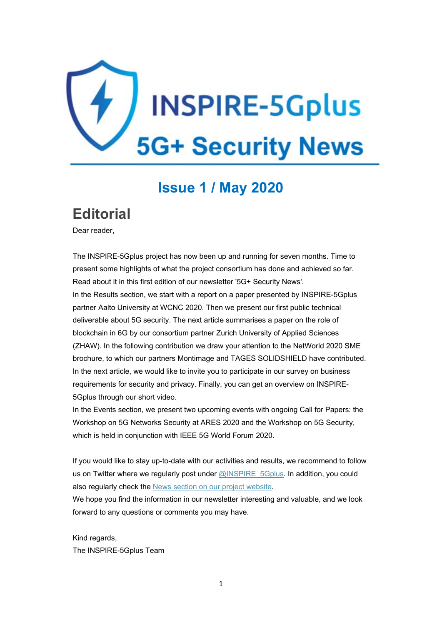

### **Issue 1 / May 2020**

### **Editorial**

Dear reader,

The INSPIRE-5Gplus project has now been up and running for seven months. Time to present some highlights of what the project consortium has done and achieved so far. Read about it in this first edition of our newsletter '5G+ Security News'. In the Results section, we start with a report on a paper presented by INSPIRE-5Gplus partner Aalto University at WCNC 2020. Then we present our first public technical deliverable about 5G security. The next article summarises a paper on the role of blockchain in 6G by our consortium partner Zurich University of Applied Sciences (ZHAW). In the following contribution we draw your attention to the NetWorld 2020 SME brochure, to which our partners Montimage and TAGES SOLIDSHIELD have contributed. In the next article, we would like to invite you to participate in our survey on business requirements for security and privacy. Finally, you can get an overview on INSPIRE-5Gplus through our short video.

In the Events section, we present two upcoming events with ongoing Call for Papers: the Workshop on 5G Networks Security at ARES 2020 and the Workshop on 5G Security, which is held in conjunction with IEEE 5G World Forum 2020.

If you would like to stay up-to-date with our activities and results, we recommend to follow us on Twitter where we regularly post under [@INSPIRE\\_5Gplus.](https://twitter.com/INSPIRE_5Gplus) In addition, you could also regularly check the News section on our project [website.](https://www.inspire-5gplus.eu/news/)

We hope you find the information in our newsletter interesting and valuable, and we look forward to any questions or comments you may have.

Kind regards, The INSPIRE-5Gplus Team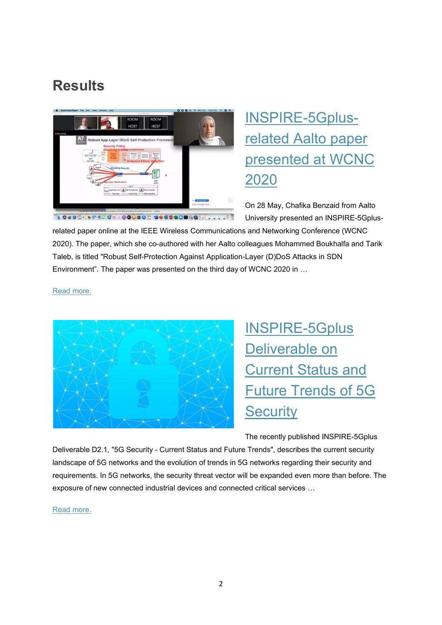### **Results**



# [INSPIRE-5Gplus](https://www.inspire-5gplus.eu/inspire-5gplus-related-aalto-paper-presented-at-wcnc-2020/)[related](https://www.inspire-5gplus.eu/inspire-5gplus-related-aalto-paper-presented-at-wcnc-2020/) Aalto paper [presented](https://www.inspire-5gplus.eu/inspire-5gplus-related-aalto-paper-presented-at-wcnc-2020/) at WCNC [2020](https://www.inspire-5gplus.eu/inspire-5gplus-related-aalto-paper-presented-at-wcnc-2020/)

On 28 May, Chafika Benzaid from Aalto University presented an INSPIRE-5Gplus-

related paper online at the IEEE Wireless Communications and Networking Conference (WCNC 2020). The paper, which she co-authored with her Aalto colleagues Mohammed Boukhalfa and Tarik Taleb, is titled "Robust Self-Protection Against Application-Layer (D)DoS Attacks in SDN Environment". The paper was presented on the third day of WCNC 2020 in …

Read [more.](https://www.inspire-5gplus.eu/inspire-5gplus-related-aalto-paper-presented-at-wcnc-2020/)



[INSPIRE-5Gplus](https://www.inspire-5gplus.eu/inspire-5gplus-deliverable-on-current-status-and-future-trends-of-5g-security/) [Deliverable](https://www.inspire-5gplus.eu/inspire-5gplus-deliverable-on-current-status-and-future-trends-of-5g-security/) on [Current](https://www.inspire-5gplus.eu/inspire-5gplus-deliverable-on-current-status-and-future-trends-of-5g-security/) Status and Future [Trends](https://www.inspire-5gplus.eu/inspire-5gplus-deliverable-on-current-status-and-future-trends-of-5g-security/) of 5G **[Security](https://www.inspire-5gplus.eu/inspire-5gplus-deliverable-on-current-status-and-future-trends-of-5g-security/)** 

The recently published INSPIRE-5Gplus

Deliverable D2.1, "5G Security - Current Status and Future Trends", describes the current security landscape of 5G networks and the evolution of trends in 5G networks regarding their security and requirements. In 5G networks, the security threat vector will be expanded even more than before. The exposure of new connected industrial devices and connected critical services …

Read [more.](https://www.inspire-5gplus.eu/inspire-5gplus-deliverable-on-current-status-and-future-trends-of-5g-security/)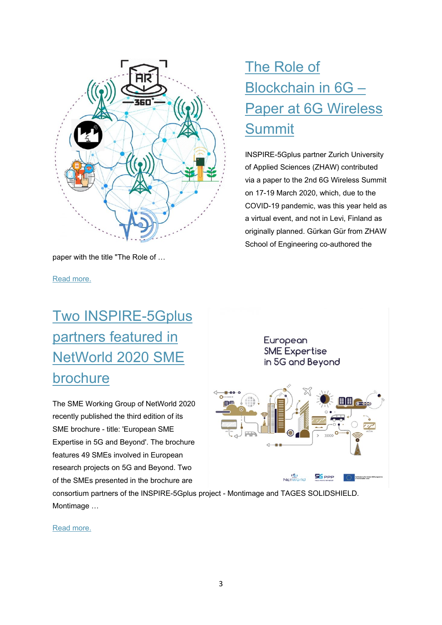

paper with the title "The Role of …

Read [more.](https://www.inspire-5gplus.eu/the-role-of-blockchain-in-6g-paper-at-6g-wireless-summit/)

# Two [INSPIRE-5Gplus](https://www.inspire-5gplus.eu/two-inspire-5gplus-partners-featured-in-networld-2020-sme-brochure/) partners [featured](https://www.inspire-5gplus.eu/two-inspire-5gplus-partners-featured-in-networld-2020-sme-brochure/) in [NetWorld](https://www.inspire-5gplus.eu/two-inspire-5gplus-partners-featured-in-networld-2020-sme-brochure/) 2020 SME [brochure](https://www.inspire-5gplus.eu/two-inspire-5gplus-partners-featured-in-networld-2020-sme-brochure/)

The SME Working Group of NetWorld 2020 recently published the third edition of its SME brochure - title: 'European SME Expertise in 5G and Beyond'. The brochure features 49 SMEs involved in European research projects on 5G and Beyond. Two of the SMEs presented in the brochure are

# The [Role](https://www.inspire-5gplus.eu/the-role-of-blockchain-in-6g-paper-at-6g-wireless-summit/) of [Blockchain](https://www.inspire-5gplus.eu/the-role-of-blockchain-in-6g-paper-at-6g-wireless-summit/) in 6G – Paper at 6G [Wireless](https://www.inspire-5gplus.eu/the-role-of-blockchain-in-6g-paper-at-6g-wireless-summit/) **[Summit](https://www.inspire-5gplus.eu/the-role-of-blockchain-in-6g-paper-at-6g-wireless-summit/)**

INSPIRE-5Gplus partner Zurich University of Applied Sciences (ZHAW) contributed via a paper to the 2nd 6G Wireless Summit on 17-19 March 2020, which, due to the COVID-19 pandemic, was this year held as a virtual event, and not in Levi, Finland as originally planned. Gürkan Gür from ZHAW School of Engineering co-authored the



consortium partners of the INSPIRE-5Gplus project - Montimage and TAGES SOLIDSHIELD. Montimage …

Read [more.](https://www.inspire-5gplus.eu/two-inspire-5gplus-partners-featured-in-networld-2020-sme-brochure/)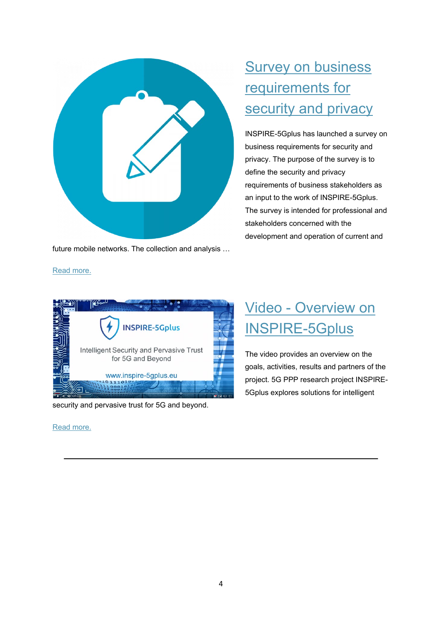

future mobile networks. The collection and analysis …

## **Survey on [business](https://www.inspire-5gplus.eu/survey-on-business-requirements-for-security-and-privacy/)** [requirements](https://www.inspire-5gplus.eu/survey-on-business-requirements-for-security-and-privacy/) for [security](https://www.inspire-5gplus.eu/survey-on-business-requirements-for-security-and-privacy/) and privacy

INSPIRE-5Gplus has launched a survey on business requirements for security and privacy. The purpose of the survey is to define the security and privacy requirements of business stakeholders as an input to the work of INSPIRE-5Gplus. The survey is intended for professional and stakeholders concerned with the development and operation of current and

# ረ∞ **INSPIRE-5Gplus** Intelligent Security and Pervasive Trust for 5G and Beyond

security and pervasive trust for 5G and beyond.

 $0.11101$ 

www.inspire-5gplus.eu

#### Read [more.](https://www.inspire-5gplus.eu/video-overview-on-inspire-5gplus/)

Read [more.](https://www.inspire-5gplus.eu/survey-on-business-requirements-for-security-and-privacy/)

## Video - [Overview](https://www.inspire-5gplus.eu/video-overview-on-inspire-5gplus/) on [INSPIRE-5Gplus](https://www.inspire-5gplus.eu/video-overview-on-inspire-5gplus/)

The video provides an overview on the goals, activities, results and partners of the project. 5G PPP research project INSPIRE-5Gplus explores solutions for intelligent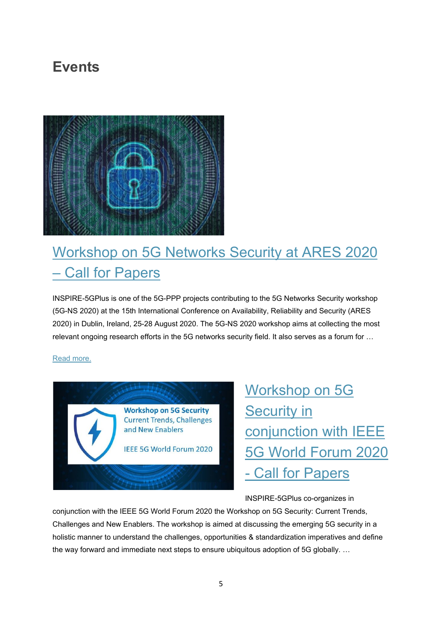## **Events**



## [Workshop](https://www.inspire-5gplus.eu/workshop-on-5g-networks-security-at-ares-2020-call-for-papers/) on 5G Networks Security at ARES 2020 – Call for [Papers](https://www.inspire-5gplus.eu/workshop-on-5g-networks-security-at-ares-2020-call-for-papers/)

INSPIRE-5GPlus is one of the 5G-PPP projects contributing to the 5G Networks Security workshop (5G-NS 2020) at the 15th International Conference on Availability, Reliability and Security (ARES 2020) in Dublin, Ireland, 25-28 August 2020. The 5G-NS 2020 workshop aims at collecting the most relevant ongoing research efforts in the 5G networks security field. It also serves as a forum for …

#### Read [more.](https://www.inspire-5gplus.eu/workshop-on-5g-networks-security-at-ares-2020-call-for-papers/)



[Workshop](https://www.inspire-5gplus.eu/workshop-on-5g-security-at-ieee-5g-world-forum-2020-call-for-papers/) on 5G **[Security](https://www.inspire-5gplus.eu/workshop-on-5g-security-at-ieee-5g-world-forum-2020-call-for-papers/) in** [conjunction](https://www.inspire-5gplus.eu/workshop-on-5g-security-at-ieee-5g-world-forum-2020-call-for-papers/) with IEEE 5G World [Forum](https://www.inspire-5gplus.eu/workshop-on-5g-security-at-ieee-5g-world-forum-2020-call-for-papers/) 2020 - Call for [Papers](https://www.inspire-5gplus.eu/workshop-on-5g-security-at-ieee-5g-world-forum-2020-call-for-papers/)

INSPIRE-5GPlus co-organizes in

conjunction with the IEEE 5G World Forum 2020 the Workshop on 5G Security: Current Trends, Challenges and New Enablers. The workshop is aimed at discussing the emerging 5G security in a holistic manner to understand the challenges, opportunities & standardization imperatives and define the way forward and immediate next steps to ensure ubiquitous adoption of 5G globally. …